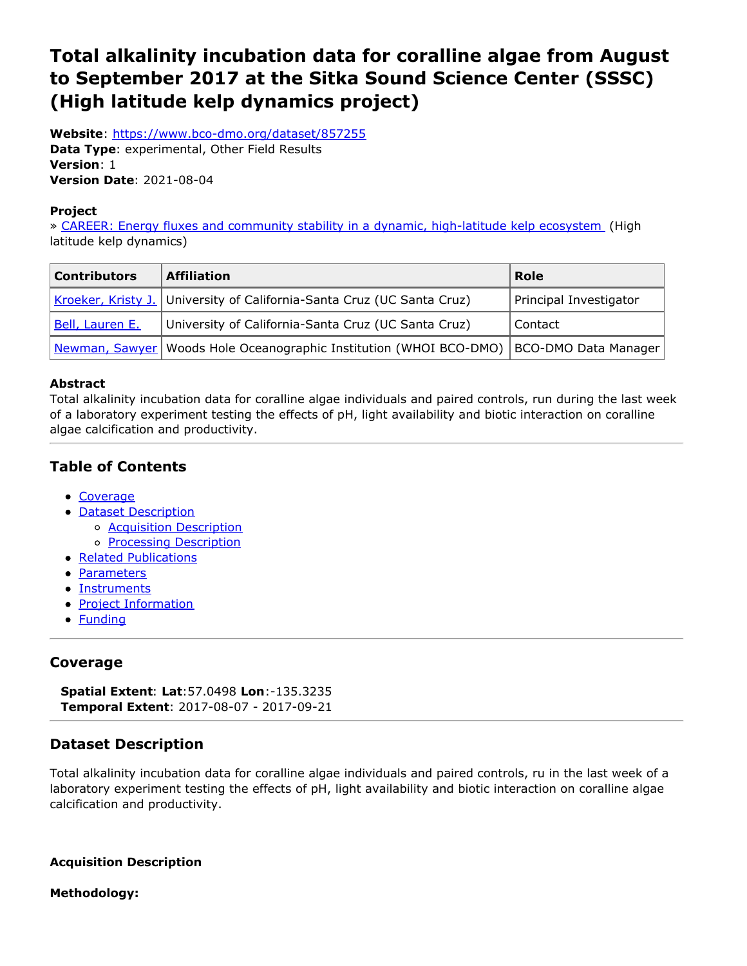# <span id="page-0-0"></span>**Total alkalinity incubation data for coralline algae from August to September 2017 at the Sitka Sound Science Center (SSSC) (High latitude kelp dynamics project)**

**Website**: <https://www.bco-dmo.org/dataset/857255> **Data Type**: experimental, Other Field Results **Version**: 1 **Version Date**: 2021-08-04

#### **Project**

» CAREER: Energy fluxes and community stability in a dynamic, [high-latitude](https://www.bco-dmo.org/project/756735) kelp ecosystem (High latitude kelp dynamics)

| <b>Contributors</b> | <b>Affiliation</b>                                                                          | Role                   |
|---------------------|---------------------------------------------------------------------------------------------|------------------------|
|                     | Kroeker, Kristy J. University of California-Santa Cruz (UC Santa Cruz)                      | Principal Investigator |
| Bell, Lauren E.     | University of California-Santa Cruz (UC Santa Cruz)                                         | Contact                |
|                     | Newman, Sawyer   Woods Hole Oceanographic Institution (WHOI BCO-DMO)   BCO-DMO Data Manager |                        |

#### **Abstract**

Total alkalinity incubation data for coralline algae individuals and paired controls, run during the last week of a laboratory experiment testing the effects of pH, light availability and biotic interaction on coralline algae calcification and productivity.

# **Table of Contents**

- [Coverage](#page-0-0)
- Dataset [Description](#page-0-0)
	- o **Acquisition [Description](#page-0-0)**
	- o **Processing [Description](#page-0-0)**
- Related [Publications](#page-0-0)
- [Parameters](#page-0-0)
- **[Instruments](#page-0-0)**
- Project [Information](#page-0-0)
- [Funding](#page-0-0)

# **Coverage**

**Spatial Extent**: **Lat**:57.0498 **Lon**:-135.3235 **Temporal Extent**: 2017-08-07 - 2017-09-21

# **Dataset Description**

Total alkalinity incubation data for coralline algae individuals and paired controls, ru in the last week of a laboratory experiment testing the effects of pH, light availability and biotic interaction on coralline algae calcification and productivity.

**Acquisition Description**

**Methodology:**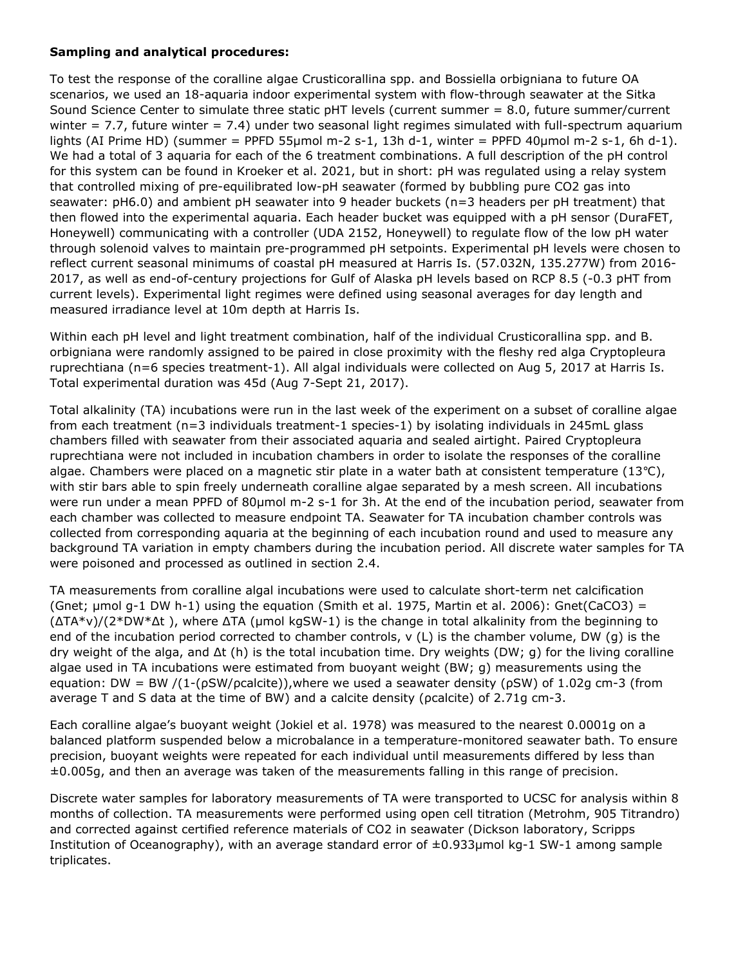#### **Sampling and analytical procedures:**

To test the response of the coralline algae Crusticorallina spp. and Bossiella orbigniana to future OA scenarios, we used an 18-aquaria indoor experimental system with flow-through seawater at the Sitka Sound Science Center to simulate three static pHT levels (current summer = 8.0, future summer/current winter =  $7.7$ , future winter =  $7.4$ ) under two seasonal light regimes simulated with full-spectrum aquarium lights (AI Prime HD) (summer = PPFD 55µmol m-2 s-1, 13h d-1, winter = PPFD 40µmol m-2 s-1, 6h d-1). We had a total of 3 aquaria for each of the 6 treatment combinations. A full description of the pH control for this system can be found in Kroeker et al. 2021, but in short: pH was regulated using a relay system that controlled mixing of pre-equilibrated low-pH seawater (formed by bubbling pure CO2 gas into seawater: pH6.0) and ambient pH seawater into 9 header buckets (n=3 headers per pH treatment) that then flowed into the experimental aquaria. Each header bucket was equipped with a pH sensor (DuraFET, Honeywell) communicating with a controller (UDA 2152, Honeywell) to regulate flow of the low pH water through solenoid valves to maintain pre-programmed pH setpoints. Experimental pH levels were chosen to reflect current seasonal minimums of coastal pH measured at Harris Is. (57.032N, 135.277W) from 2016- 2017, as well as end-of-century projections for Gulf of Alaska pH levels based on RCP 8.5 (-0.3 pHT from current levels). Experimental light regimes were defined using seasonal averages for day length and measured irradiance level at 10m depth at Harris Is.

Within each pH level and light treatment combination, half of the individual Crusticorallina spp. and B. orbigniana were randomly assigned to be paired in close proximity with the fleshy red alga Cryptopleura ruprechtiana (n=6 species treatment-1). All algal individuals were collected on Aug 5, 2017 at Harris Is. Total experimental duration was 45d (Aug 7-Sept 21, 2017).

Total alkalinity (TA) incubations were run in the last week of the experiment on a subset of coralline algae from each treatment (n=3 individuals treatment-1 species-1) by isolating individuals in 245mL glass chambers filled with seawater from their associated aquaria and sealed airtight. Paired Cryptopleura ruprechtiana were not included in incubation chambers in order to isolate the responses of the coralline algae. Chambers were placed on a magnetic stir plate in a water bath at consistent temperature (13℃), with stir bars able to spin freely underneath coralline algae separated by a mesh screen. All incubations were run under a mean PPFD of 80μmol m-2 s-1 for 3h. At the end of the incubation period, seawater from each chamber was collected to measure endpoint TA. Seawater for TA incubation chamber controls was collected from corresponding aquaria at the beginning of each incubation round and used to measure any background TA variation in empty chambers during the incubation period. All discrete water samples for TA were poisoned and processed as outlined in section 2.4.

TA measurements from coralline algal incubations were used to calculate short-term net calcification (Gnet;  $\mu$ mol g-1 DW h-1) using the equation (Smith et al. 1975, Martin et al. 2006): Gnet(CaCO3) = (ΔTA\*ν)/(2\*DW\*Δt ), where ΔTA (μmol kgSW-1) is the change in total alkalinity from the beginning to end of the incubation period corrected to chamber controls, ν (L) is the chamber volume, DW (g) is the dry weight of the alga, and Δt (h) is the total incubation time. Dry weights (DW; g) for the living coralline algae used in TA incubations were estimated from buoyant weight (BW; g) measurements using the equation: DW = BW /(1-( $pSW/pcalite)$ ),where we used a seawater density ( $pSW$ ) of 1.02g cm-3 (from average T and S data at the time of BW) and a calcite density (ρcalcite) of 2.71g cm-3.

Each coralline algae's buoyant weight (Jokiel et al. 1978) was measured to the nearest 0.0001g on a balanced platform suspended below a microbalance in a temperature-monitored seawater bath. To ensure precision, buoyant weights were repeated for each individual until measurements differed by less than ±0.005g, and then an average was taken of the measurements falling in this range of precision.

Discrete water samples for laboratory measurements of TA were transported to UCSC for analysis within 8 months of collection. TA measurements were performed using open cell titration (Metrohm, 905 Titrandro) and corrected against certified reference materials of CO2 in seawater (Dickson laboratory, Scripps Institution of Oceanography), with an average standard error of ±0.933μmol kg-1 SW-1 among sample triplicates.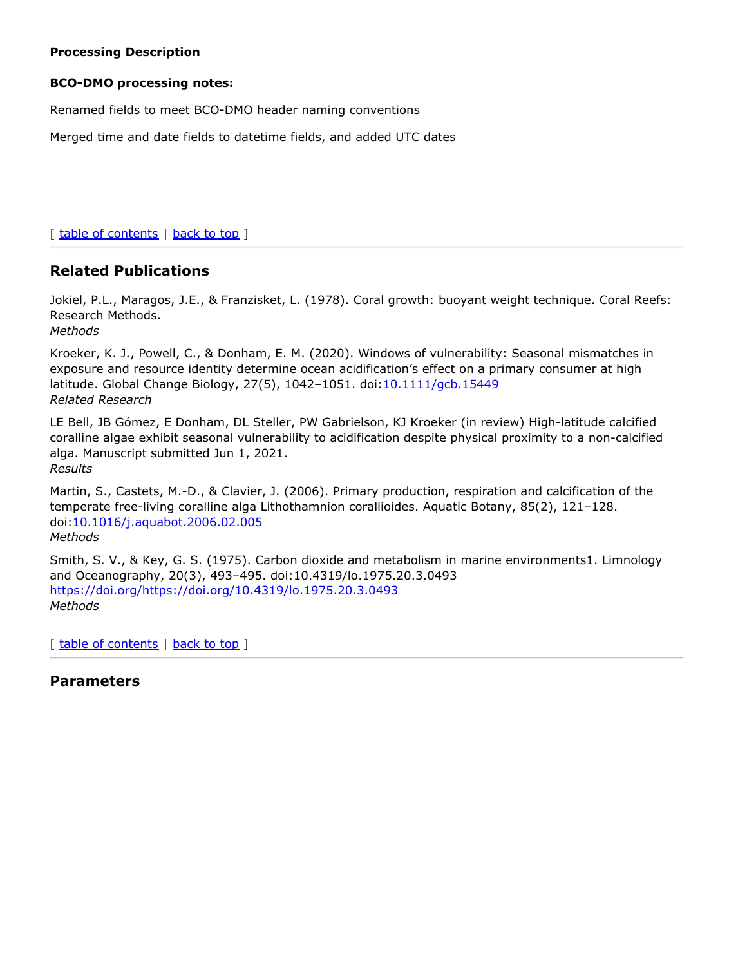#### **Processing Description**

#### **BCO-DMO processing notes:**

Renamed fields to meet BCO-DMO header naming conventions

Merged time and date fields to datetime fields, and added UTC dates

[ table of [contents](#page-0-0) | [back](#page-0-0) to top ]

## **Related Publications**

Jokiel, P.L., Maragos, J.E., & Franzisket, L. (1978). Coral growth: buoyant weight technique. Coral Reefs: Research Methods.

*Methods*

Kroeker, K. J., Powell, C., & Donham, E. M. (2020). Windows of vulnerability: Seasonal mismatches in exposure and resource identity determine ocean acidification's effect on a primary consumer at high latitude. Global Change Biology, 27(5), 1042–1051. doi:[10.1111/gcb.15449](https://doi.org/10.1111/gcb.15449) *Related Research*

LE Bell, JB Gómez, E Donham, DL Steller, PW Gabrielson, KJ Kroeker (in review) High-latitude calcified coralline algae exhibit seasonal vulnerability to acidification despite physical proximity to a non-calcified alga. Manuscript submitted Jun 1, 2021. *Results*

Martin, S., Castets, M.-D., & Clavier, J. (2006). Primary production, respiration and calcification of the temperate free-living coralline alga Lithothamnion corallioides. Aquatic Botany, 85(2), 121–128. doi[:10.1016/j.aquabot.2006.02.005](https://doi.org/10.1016/j.aquabot.2006.02.005) *Methods*

Smith, S. V., & Key, G. S. (1975). Carbon dioxide and metabolism in marine environments1. Limnology and Oceanography, 20(3), 493–495. doi:10.4319/lo.1975.20.3.0493 <https://doi.org/https://doi.org/10.4319/lo.1975.20.3.0493> *Methods*

[ table of [contents](#page-0-0) | [back](#page-0-0) to top ]

## **Parameters**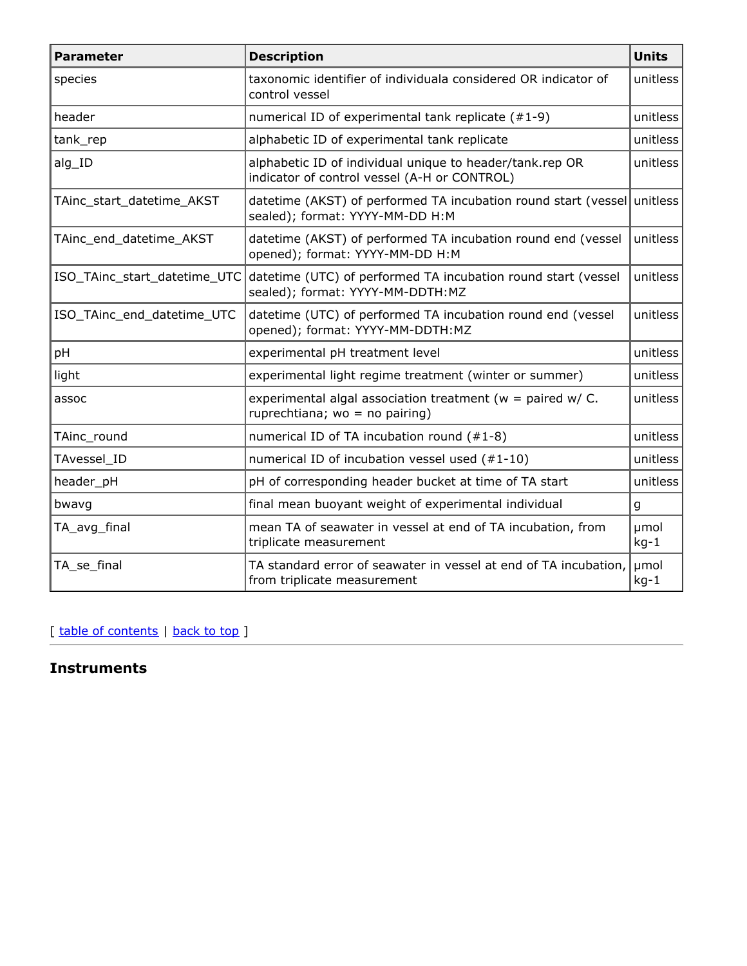| <b>Parameter</b>             | <b>Description</b>                                                                                       | <b>Units</b>   |
|------------------------------|----------------------------------------------------------------------------------------------------------|----------------|
| species                      | taxonomic identifier of individuala considered OR indicator of<br>control vessel                         | unitless       |
| header                       | numerical ID of experimental tank replicate (#1-9)                                                       | unitless       |
| tank_rep                     | alphabetic ID of experimental tank replicate                                                             | unitless       |
| alg_ID                       | alphabetic ID of individual unique to header/tank.rep OR<br>indicator of control vessel (A-H or CONTROL) | unitless       |
| TAinc_start_datetime_AKST    | datetime (AKST) of performed TA incubation round start (vessel<br>sealed); format: YYYY-MM-DD H:M        | unitless       |
| TAinc_end_datetime_AKST      | datetime (AKST) of performed TA incubation round end (vessel<br>opened); format: YYYY-MM-DD H:M          | unitless       |
| ISO_TAinc_start_datetime_UTC | datetime (UTC) of performed TA incubation round start (vessel<br>sealed); format: YYYY-MM-DDTH:MZ        | unitless       |
| ISO_TAinc_end_datetime_UTC   | datetime (UTC) of performed TA incubation round end (vessel<br>opened); format: YYYY-MM-DDTH:MZ          | unitless       |
| pH                           | experimental pH treatment level                                                                          | unitless       |
| light                        | experimental light regime treatment (winter or summer)                                                   | unitless       |
| assoc                        | experimental algal association treatment ( $w =$ paired w/ C.<br>ruprechtiana; $wo = no$ pairing)        | unitless       |
| TAinc_round                  | numerical ID of TA incubation round (#1-8)                                                               | unitless       |
| TAvessel ID                  | numerical ID of incubation vessel used (#1-10)                                                           | unitless       |
| header_pH                    | pH of corresponding header bucket at time of TA start                                                    | unitless       |
| bwavg                        | final mean buoyant weight of experimental individual                                                     | g              |
| TA_avg_final                 | mean TA of seawater in vessel at end of TA incubation, from<br>triplicate measurement                    |                |
| TA_se_final                  | TA standard error of seawater in vessel at end of TA incubation,<br>from triplicate measurement          | µmol<br>$kg-1$ |

[ table of [contents](#page-0-0) | [back](#page-0-0) to top ]

# **Instruments**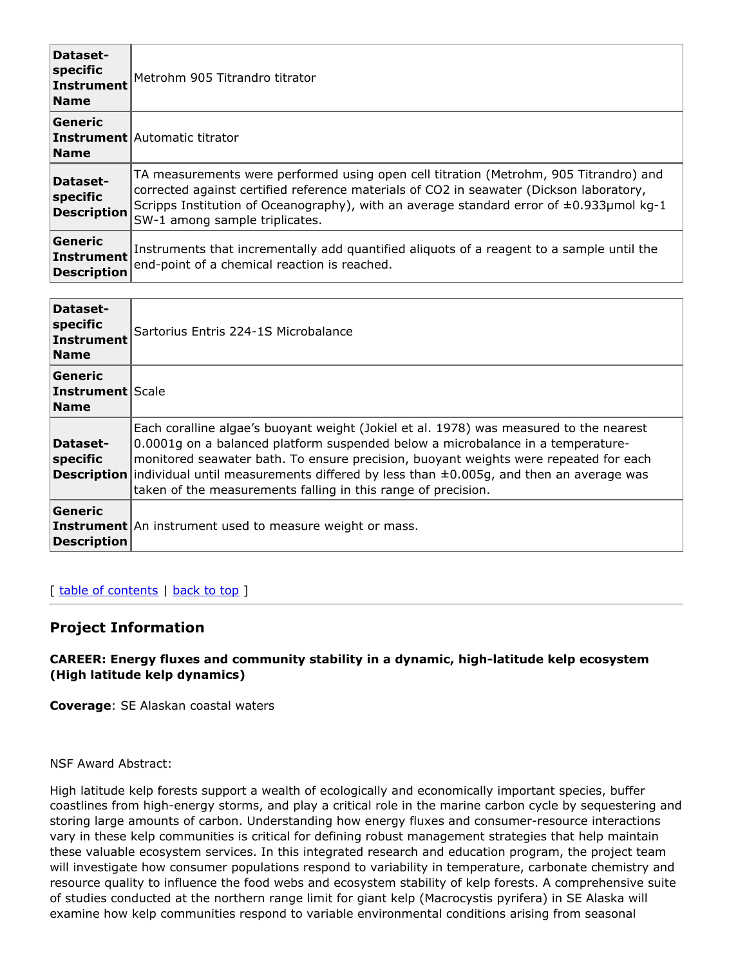| Dataset-<br>specific<br>Instrument<br><b>Name</b> | Metrohm 905 Titrandro titrator                                                                                                                                                                                                                                                                                      |
|---------------------------------------------------|---------------------------------------------------------------------------------------------------------------------------------------------------------------------------------------------------------------------------------------------------------------------------------------------------------------------|
| Generic<br><b>Name</b>                            | <b>Instrument</b> Automatic titrator                                                                                                                                                                                                                                                                                |
| Dataset-<br>specific<br><b>Description</b>        | TA measurements were performed using open cell titration (Metrohm, 905 Titrandro) and<br>corrected against certified reference materials of CO2 in seawater (Dickson laboratory,<br>Scripps Institution of Oceanography), with an average standard error of $\pm 0.933$ µmol kg-1<br>SW-1 among sample triplicates. |
| Generic<br>Instrument<br><b>Description</b>       | Instruments that incrementally add quantified aliquots of a reagent to a sample until the<br>end-point of a chemical reaction is reached.                                                                                                                                                                           |

| Dataset-<br>specific<br>Instrument<br><b>Name</b>   | Sartorius Entris 224-1S Microbalance                                                                                                                                                                                                                                                                                                                                                                                                                |
|-----------------------------------------------------|-----------------------------------------------------------------------------------------------------------------------------------------------------------------------------------------------------------------------------------------------------------------------------------------------------------------------------------------------------------------------------------------------------------------------------------------------------|
| Generic<br><b>Instrument   Scale</b><br><b>Name</b> |                                                                                                                                                                                                                                                                                                                                                                                                                                                     |
| Dataset-<br>specific                                | Each coralline algae's buoyant weight (Jokiel et al. 1978) was measured to the nearest<br>0.0001g on a balanced platform suspended below a microbalance in a temperature-<br>monitored seawater bath. To ensure precision, buoyant weights were repeated for each<br><b>Description</b> individual until measurements differed by less than $\pm 0.005g$ , and then an average was<br>taken of the measurements falling in this range of precision. |
| Generic<br><b>Description</b>                       | <b>Instrument</b> An instrument used to measure weight or mass.                                                                                                                                                                                                                                                                                                                                                                                     |

## [ table of [contents](#page-0-0) | [back](#page-0-0) to top ]

# **Project Information**

#### **CAREER: Energy fluxes and community stability in a dynamic, high-latitude kelp ecosystem (High latitude kelp dynamics)**

**Coverage**: SE Alaskan coastal waters

NSF Award Abstract:

High latitude kelp forests support a wealth of ecologically and economically important species, buffer coastlines from high-energy storms, and play a critical role in the marine carbon cycle by sequestering and storing large amounts of carbon. Understanding how energy fluxes and consumer-resource interactions vary in these kelp communities is critical for defining robust management strategies that help maintain these valuable ecosystem services. In this integrated research and education program, the project team will investigate how consumer populations respond to variability in temperature, carbonate chemistry and resource quality to influence the food webs and ecosystem stability of kelp forests. A comprehensive suite of studies conducted at the northern range limit for giant kelp (Macrocystis pyrifera) in SE Alaska will examine how kelp communities respond to variable environmental conditions arising from seasonal